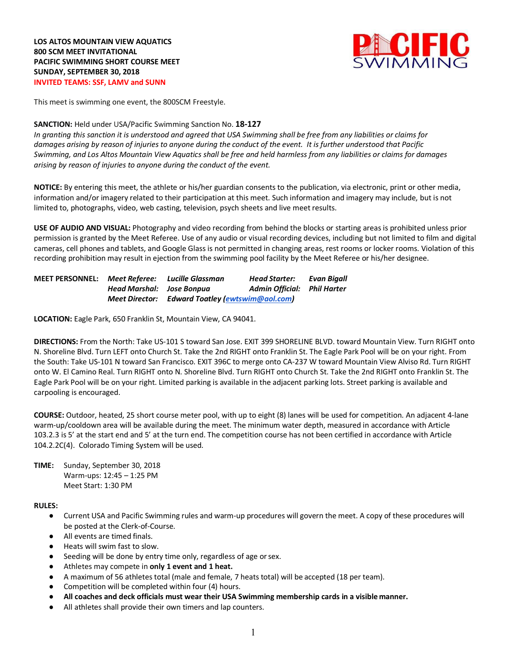

This meet is swimming one event, the 800SCM Freestyle.

### **SANCTION:** Held under USA/Pacific Swimming Sanction No. **18-127**

*In granting this sanction it is understood and agreed that USA Swimming shall be free from any liabilities or claims for damages arising by reason of injuries to anyone during the conduct of the event. It is further understood that Pacific Swimming, and Los Altos Mountain View Aquatics shall be free and held harmless from any liabilities or claims for damages arising by reason of injuries to anyone during the conduct of the event.*

**NOTICE:** By entering this meet, the athlete or his/her guardian consents to the publication, via electronic, print or other media, information and/or imagery related to their participation at this meet. Such information and imagery may include, but is not limited to, photographs, video, web casting, television, psych sheets and live meet results.

**USE OF AUDIO AND VISUAL:** Photography and video recording from behind the blocks or starting areas is prohibited unless prior permission is granted by the Meet Referee. Use of any audio or visual recording devices, including but not limited to film and digital cameras, cell phones and tablets, and Google Glass is not permitted in changing areas, rest rooms or locker rooms. Violation of this recording prohibition may result in ejection from the swimming pool facility by the Meet Referee or his/her designee.

| <b>MEET PERSONNEL: Meet Referee: Lucille Glassman</b> |                           |                                                 | Head Starter:               | Evan Bigall |
|-------------------------------------------------------|---------------------------|-------------------------------------------------|-----------------------------|-------------|
|                                                       | Head Marshal: Jose Bonpua |                                                 | Admin Official: Phil Harter |             |
|                                                       |                           | Meet Director: Edward Toatley (ewtswim@aol.com) |                             |             |

**LOCATION:** Eagle Park, 650 Franklin St, Mountain View, CA 94041.

**DIRECTIONS:** From the North: Take US-101 S toward San Jose. EXIT 399 SHORELINE BLVD. toward Mountain View. Turn RIGHT onto N. Shoreline Blvd. Turn LEFT onto Church St. Take the 2nd RIGHT onto Franklin St. The Eagle Park Pool will be on your right. From the South: Take US-101 N toward San Francisco. EXIT 396C to merge onto CA-237 W toward Mountain View Alviso Rd. Turn RIGHT onto W. El Camino Real. Turn RIGHT onto N. Shoreline Blvd. Turn RIGHT onto Church St. Take the 2nd RIGHT onto Franklin St. The Eagle Park Pool will be on your right. Limited parking is available in the adjacent parking lots. Street parking is available and carpooling is encouraged.

**COURSE:** Outdoor, heated, 25 short course meter pool, with up to eight (8) lanes will be used for competition. An adjacent 4-lane warm-up/cooldown area will be available during the meet. The minimum water depth, measured in accordance with Article 103.2.3 is 5' at the start end and 5' at the turn end. The competition course has not been certified in accordance with Article 104.2.2C(4).Colorado Timing System will be used.

**TIME:** Sunday, September 30, 2018 Warm-ups: 12:45 – 1:25 PM Meet Start: 1:30 PM

#### **RULES:**

- Current USA and Pacific Swimming rules and warm-up procedures will govern the meet. A copy of these procedures will be posted at the Clerk-of-Course.
- All events are timed finals.
- Heats will swim fast to slow.
- Seeding will be done by entry time only, regardless of age or sex.
- Athletes may compete in **only 1 event and 1 heat.**
- A maximum of 56 athletes total (male and female, 7 heats total) will be accepted (18 per team).
- Competition will be completed within four (4) hours.
- **All coaches and deck officials must wear their USA Swimming membership cards in a visible manner.**
- All athletes shall provide their own timers and lap counters.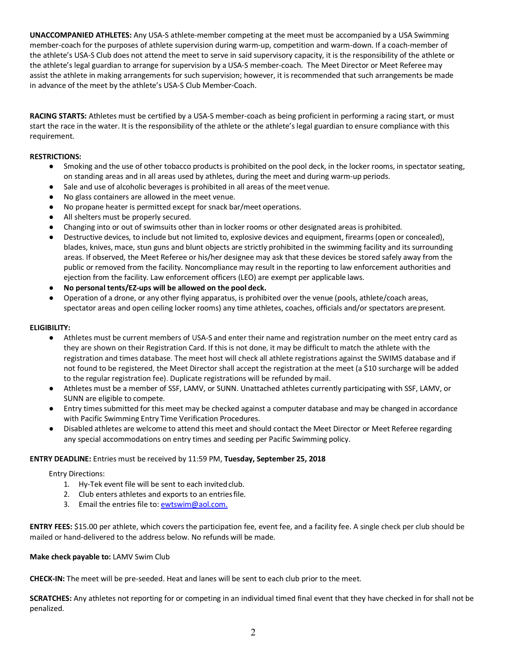**UNACCOMPANIED ATHLETES:** Any USA-S athlete-member competing at the meet must be accompanied by a USA Swimming member-coach for the purposes of athlete supervision during warm-up, competition and warm-down. If a coach-member of the athlete's USA-S Club does not attend the meet to serve in said supervisory capacity, it is the responsibility of the athlete or the athlete's legal guardian to arrange for supervision by a USA-S member-coach. The Meet Director or Meet Referee may assist the athlete in making arrangements for such supervision; however, it is recommended that such arrangements be made in advance of the meet by the athlete's USA-S Club Member-Coach.

**RACING STARTS:** Athletes must be certified by a USA-S member-coach as being proficient in performing a racing start, or must start the race in the water. It is the responsibility of the athlete or the athlete's legal guardian to ensure compliance with this requirement.

# **RESTRICTIONS:**

- Smoking and the use of other tobacco products is prohibited on the pool deck, in the locker rooms, in spectator seating, on standing areas and in all areas used by athletes, during the meet and during warm-up periods.
- Sale and use of alcoholic beverages is prohibited in all areas of the meet venue.
- No glass containers are allowed in the meet venue.
- No propane heater is permitted except for snack bar/meet operations.
- All shelters must be properly secured.
- Changing into or out of swimsuits other than in locker rooms or other designated areas is prohibited.
- Destructive devices, to include but not limited to, explosive devices and equipment, firearms(open or concealed), blades, knives, mace, stun guns and blunt objects are strictly prohibited in the swimming facility and its surrounding areas. If observed, the Meet Referee or his/her designee may ask that these devices be stored safely away from the public or removed from the facility. Noncompliance may result in the reporting to law enforcement authorities and ejection from the facility. Law enforcement officers (LEO) are exempt per applicable laws.
- **No personal tents/EZ-ups will be allowed on the pool deck.**
- Operation of a drone, or any other flying apparatus, is prohibited over the venue (pools, athlete/coach areas, spectator areas and open ceiling locker rooms) any time athletes, coaches, officials and/or spectators arepresent.

### **ELIGIBILITY:**

- Athletes must be current members of USA-S and enter their name and registration number on the meet entry card as they are shown on their Registration Card. If this is not done, it may be difficult to match the athlete with the registration and times database. The meet host will check all athlete registrations against the SWIMS database and if not found to be registered, the Meet Director shall accept the registration at the meet (a \$10 surcharge will be added to the regular registration fee). Duplicate registrations will be refunded by mail.
- Athletes must be a member of SSF, LAMV, or SUNN. Unattached athletes currently participating with SSF, LAMV, or SUNN are eligible to compete.
- Entry timessubmitted for this meet may be checked against a computer database and may be changed in accordance with Pacific Swimming Entry Time Verification Procedures.
- Disabled athletes are welcome to attend this meet and should contact the Meet Director or Meet Referee regarding any special accommodations on entry times and seeding per Pacific Swimming policy.

### **ENTRY DEADLINE:** Entries must be received by 11:59 PM, **Tuesday, September 25, 2018**

#### Entry Directions:

- 1. Hy-Tek event file will be sent to each invited club.
- 2. Club enters athletes and exports to an entriesfile.
- 3. Email the entries file to: ewtswim@aol.com.

**ENTRY FEES:** \$15.00 per athlete, which covers the participation fee, event fee, and a facility fee. A single check per club should be mailed or hand-delivered to the address below. No refunds will be made.

#### **Make check payable to:** LAMV Swim Club

**CHECK-IN:** The meet will be pre-seeded. Heat and lanes will be sent to each club prior to the meet.

**SCRATCHES:** Any athletes not reporting for or competing in an individual timed final event that they have checked in for shall not be penalized.